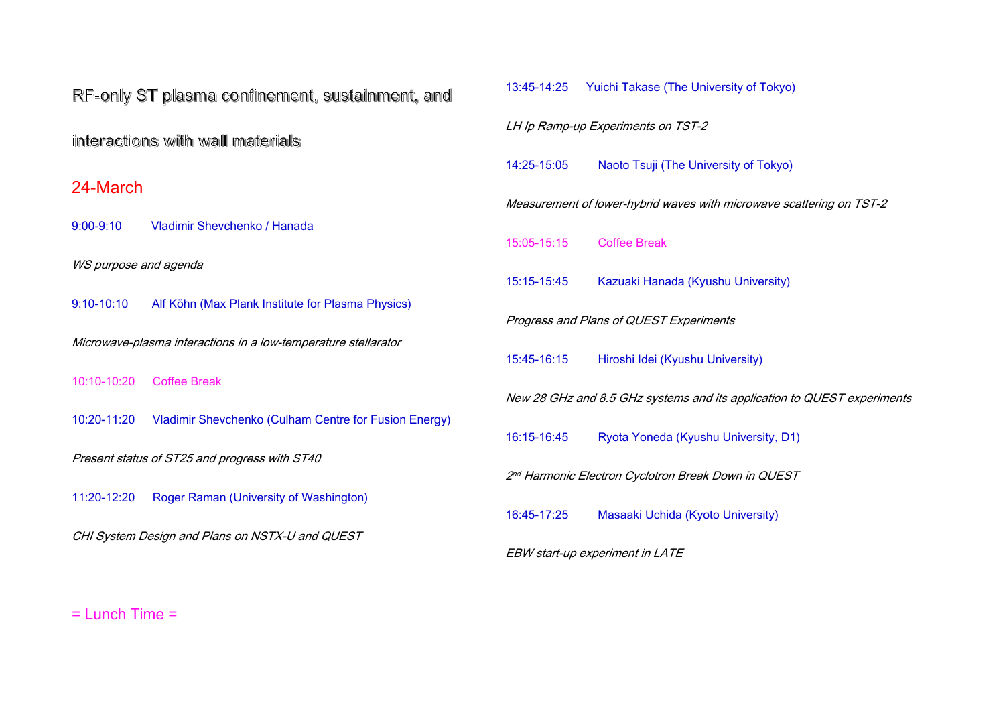#### = Lunch Time =

# of Tokyo)

# f Tokyo)

owave scattering on TST-2

#### iversity)

Nication to QUEST experiments

# ersity, D1)

#### in QUEST

# ersity)

| RF-only ST plasma confinement, sustainment, and                |                                                       | 13:45-14:25 | <b>Yuichi Takase (The University of T</b>                   |  |
|----------------------------------------------------------------|-------------------------------------------------------|-------------|-------------------------------------------------------------|--|
| interactions with wall materials                               |                                                       |             | LH Ip Ramp-up Experiments on TST-2                          |  |
|                                                                |                                                       | 14:25-15:05 | Naoto Tsuji (The University of To                           |  |
| 24-March                                                       |                                                       |             | Measurement of lower-hybrid waves with microwa              |  |
| $9:00 - 9:10$                                                  | <b>Vladimir Shevchenko / Hanada</b>                   | 15:05-15:15 | <b>Coffee Break</b>                                         |  |
| WS purpose and agenda                                          |                                                       | 15:15-15:45 | Kazuaki Hanada (Kyushu Univer                               |  |
| $9:10 - 10:10$                                                 | Alf Köhn (Max Plank Institute for Plasma Physics)     |             | <b>Progress and Plans of QUEST Experiments</b>              |  |
| Microwave-plasma interactions in a low-temperature stellarator |                                                       |             |                                                             |  |
| 10:10-10:20<br><b>Coffee Break</b>                             |                                                       | 15:45-16:15 | Hiroshi Idei (Kyushu University)                            |  |
|                                                                |                                                       |             | New 28 GHz and 8.5 GHz systems and its applica              |  |
| 10:20-11:20                                                    | Vladimir Shevchenko (Culham Centre for Fusion Energy) | 16:15-16:45 | Ryota Yoneda (Kyushu Universi                               |  |
| Present status of ST25 and progress with ST40                  |                                                       |             | 2 <sup>nd</sup> Harmonic Electron Cyclotron Break Down in G |  |
| 11:20-12:20                                                    | Roger Raman (University of Washington)                |             |                                                             |  |
|                                                                |                                                       | 16:45-17:25 | Masaaki Uchida (Kyoto Universi                              |  |
| CHI System Design and Plans on NSTX-U and QUEST                |                                                       |             | <b>EBW start-up experiment in LATE</b>                      |  |
|                                                                |                                                       |             |                                                             |  |